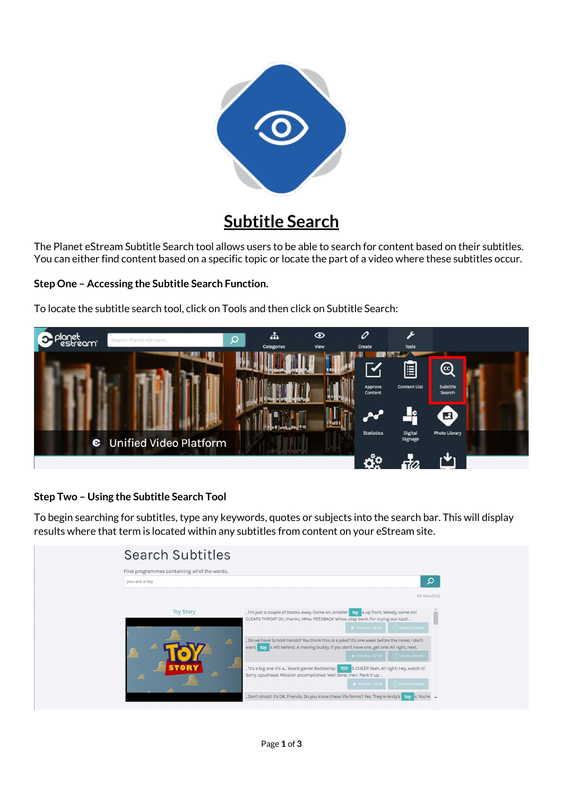

## **Subtitle Search**

The Planet eStream Subtitle Search tool allows users to be able to search for content based on their subtitles. You can either find content based on a specific topic or locate the part of a video where these subtitles occur.

## **Step One – Accessing the Subtitle Search Function.**

To locate the subtitle search tool, click on Tools and then click on Subtitle Search:



## **Step Two – Using the Subtitle Search Tool**

To begin searching for subtitles, type any keywords, quotes or subjects into the search bar. This will display results where that term is located within any subtitles from content on your eStream site.

| Find programmes containing all of the words |                                                                                               |
|---------------------------------------------|-----------------------------------------------------------------------------------------------|
| you are a toy                               | Ω                                                                                             |
|                                             | 44 result(s)                                                                                  |
| <b>Toy Story</b>                            | . I'm just a couple of blocks away. Come on, smaller toy sup front. Woody, come on!           |
|                                             | CLEARS THROAT Oh, thanks, Mike. FEEDBACK Whoa, step back. For crying out loud!                |
|                                             | $\triangleright$ Preview: 06:23<br>(*) Create Chapter                                         |
|                                             | Do we have to hold hands? You think this is a joke? It's one week before the move, I don't    |
|                                             | want toy sleft behind. A moving buddy. If you don't have one, get one! All right, next.       |
|                                             | (*) Create Chapter<br>$\triangleright$ Preview : 07:03                                        |
| STORY                                       | . It's a big one. It's a 'board game! Battleship.' TOY SCHEER Yeah. All right! Hey, watch it! |
|                                             | Sorry, spudhead. Mission accomplished. Well done, men. Pack it up.                            |
|                                             | (*) Create Chapter<br>$\triangleright$ Preview : 12:16                                        |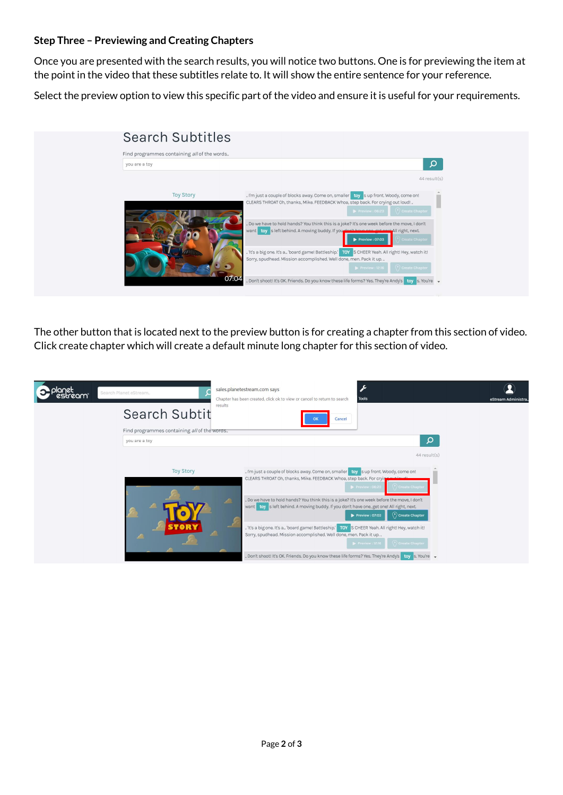## **Step Three – Previewing and Creating Chapters**

Once you are presented with the search results, you will notice two buttons. One is for previewing the item at the point in the video that these subtitles relate to. It will show the entire sentence for your reference.

Select the preview option to view this specific part of the video and ensure it is useful for your requirements.



The other button that is located next to the preview button is for creating a chapter from this section of video. Click create chapter which will create a default minute long chapter for this section of video.